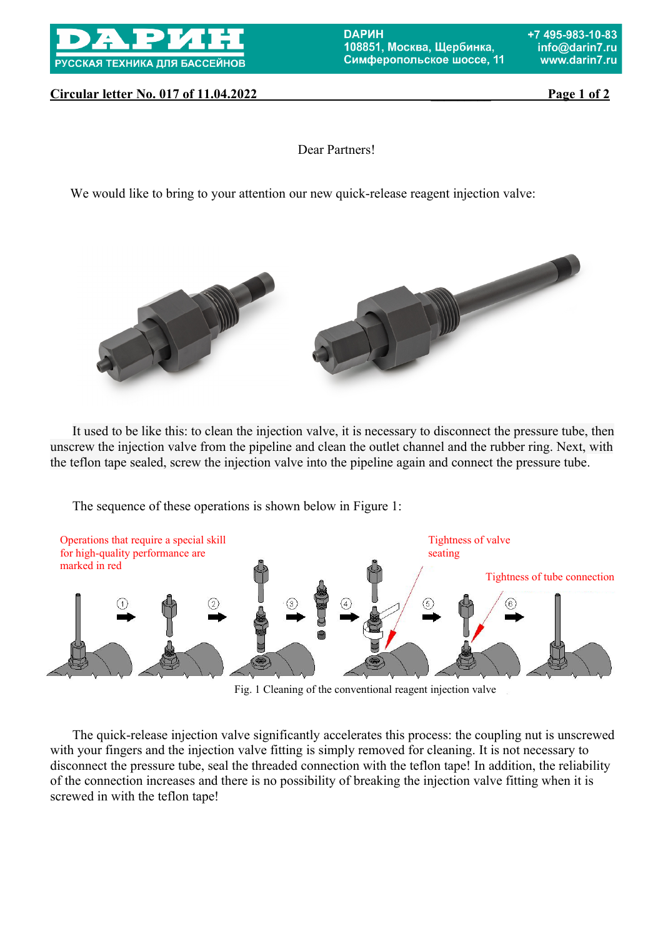

*<u>DAPИН</u>* 108851, Москва, Шербинка, Симферопольское шоссе, 11

## **Circular letter No. 017 of 11.04.2022** Page 1 of 2

Dear Partners!

We would like to bring to your attention our new quick-release reagent injection valve:



It used to be like this: to clean the injection valve, it is necessary to disconnect the pressure tube, then unscrew the injection valve from the pipeline and clean the outlet channel and the rubber ring. Next, with the teflon tape sealed, screw the injection valve into the pipeline again and connect the pressure tube.

The sequence of these operations is shown below in Figure 1:



Fig. 1 Cleaning of the conventional reagent injection valve

The quick-release injection valve significantly accelerates this process: the coupling nut is unscrewed with your fingers and the injection valve fitting is simply removed for cleaning. It is not necessary to disconnect the pressure tube, seal the threaded connection with the teflon tape! In addition, the reliability of the connection increases and there is no possibility of breaking the injection valve fitting when it is screwed in with the teflon tape!